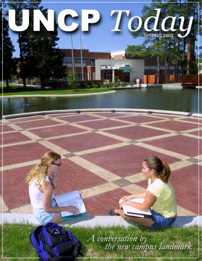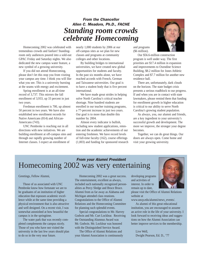### *From the Chancellor Allen C. Meadors, Ph.D., FACHE Standing room crowds celebrate Homecoming*

Homecoming 2002 was celebrated with tremendous crowds and fanfare! Standingroom only audiences poured into a sold-out GPAC Friday and Saturday nights. We also dedicated the new campus water feature, a new symbol of a growing university.

If you did not attend Homecoming, please don't let this stop you from visiting your campus any time. I think you will like what you see. This is a university bursting at the seams with energy and excitement.

Spring enrollment is at an all-time record of 3,737. This mirrors the fall enrollment of 3,933, up 33 percent in just two years.

Freshman enrollment is 700, up almost 50 percent in two years. We have also established new enrollment records for Native Americans (814) and African-Americans (743).

UNC Pembroke is reaching out in all directions with new initiatives. We are building enrollment at off-campus sites and through our rapidly growing number of Internet classes. I expect an enrollment of

nearly 1,000 students by 2006 at our off-campus sites as we plan for new classes and programs at community colleges and other locations.

By building bridges to international universities, we have created new global opportunities for students and faculty. In the past six months alone, we have reached accords with French, German and Taiwanese universities. Our goal is to have a student body that is five percent international.

We have made great strides in helping solve North Carolina's critical teacher shortage. Nine hundred students are enrolled in our teacher training programs, a 77-percent increase in just two years. Our goal is to more than double this number by 2004.

Almost every indicator is bullish, including new student applications, retention and the academic achievements of our entering freshmen. We have record levels of full-time faculty (162), course offerings (1,003) and funding for sponsored research

![](_page_1_Picture_10.jpeg)

and programs (\$6 million).

Our \$56.6-million construction program is well under way. The first priorities are \$17.4 million in expansion and improvements to Oxendine Science Building, \$8.2 million for Jones Athletic Complex and \$7.7 million for another new residence hall.

There are, unfortunately, dark clouds on the horizon. The state budget crisis presents a serious roadblock to our progress. If and when you are in contact with state lawmakers, please remind them that funding for enrollment growth in higher education is critical to our ability to serve North Carolina's growing student population.

As always, you, our alumni and friends, are a key ingredient to your university's successful growth and development. The more we improve, the stronger your degree becomes.

Together, we can do great things. Our doors are always open. Come home and visit your growing university.

### *From your Alumni President* Homecoming 2002 was very entertaining

Greetings, Fellow Alumni,

Those of us associated with UNC Pembroke know how fortunate we are to be graduates of an institution of higher education that espouses academic excellence while at the same time providing a physical environment that is also attractive and well designed. On a recent visit, I was somewhat astonished at how beautiful the campus is in the springtime.

The water park that was recently completed complements the campus nicely. Those of you who have not visited the university in the last few years should plan to do so in the very near future.

Homecoming 2002 was a great success. The entertainment, excellent as always, included such nationally recognized personalities as Percy Sledge and Bruce Bruce. Alumni from as far away as Alabama and Michigan attended class reunions. Congratulations to the Office of Alumni Relations and the Homecoming Committee for planning such splendid events.

Special congratulations to Mr. Harvey Godwin and Mr. Curt Locklear. Receiving the Outstanding Alumnus Award was Mr. Godwin. Mr. Locklear was honored with the Distinguished Service Award.

The Office of Alumni Relations and your Alumni Association is continuously developing programs and activities of interest. In order to remain up to date,

please visit the Office of Alumni Relations website at

www.uncp.edu/alumni/news\_events/.

As alumni of this great educational institution, you are encouraged to assume an active role in the life of your university. I look forward to receiving ideas and suggestions on how the Alumni Association can better improve services to the membership.

Live Well, Dwight Pearson, Ed. D., '77

![](_page_1_Picture_28.jpeg)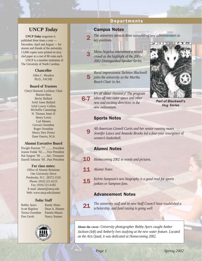### **UNCP** *Today*

**UNCP** *Today* magazine is published three times a year — December, April and August — for alumni and friends of the university. 13,000 copies were printed on recycled paper at a cost of 80 cents each. UNCP is a member institution of

The University of North Carolina.

#### **Chancellor**

Allen C. Meadors Ph.D., FACHE

#### **Board of Trustees**

Cheryl Ransom Locklear, Chair Marion Bass Becky Bullard Sybil Jones Bullard Sybil Lowry Collins McDuffie Cummings H. Thomas Jones II Henry Lewis Carl Meares Gervais Oxendine Roger Oxendine Sherry Dew Prince Dane Onorio, SGA

#### **Alumni Executive Board**

Dwight Pearson '77 ..........President Jeanne Fedak '82 ......Vice President Hal Sargent '96 ........Sec.-Treasurer Darrell Johnson '69 ..Past President

#### **For class notes:**

Office of Alumni Relations One University Drive Pembroke, N.C. 28372-1510 Phone: (910) 521-6213 Fax: (910) 521-6185 E-mail: alumni@uncp.edu Web: www.uncp.edu/alumni

#### *Today* **Staff**

Bobby Ayers Randy Hines Scott Bigelow Dean A. Hinnen Teresa Oxendine Pamela Mason Don Gersh Nancy Starnes

![](_page_2_Picture_14.jpeg)

### Departments

#### Campus Notes

2

3

9

21

*The university attracts three outstanding new administrators to key positions.*

*Maya Angelou entertained a record crowd as the highlight of the 2001- 2002 Distinguished Speaker Series.*

5 *joins the university as the Martha Rural impressionist Tarleton Blackwell Beach Chair in Art.*

6-7 *It's all about chemistry! The program takes off into outer space and other new and exciting directions in the new millennium.*

![](_page_2_Picture_21.jpeg)

**Part of Blackwell's** *Hog Series*

#### Sports Notes

*All-American Ginnell Curtis and her senior running mates Jennifer Lance and Amanda Brooks led a four-year resurgence of women's basketball.*

#### Alumni Notes

- 10 *Homecoming 2002 in words and pictures.*
- 11 *Alumni Notes*
- 15 *Kelvin Sampson's new biography is a good read for sports junkies or Sampson fans.*

### Advancement Notes

*The university staff and its new Staff Council have established a scholarship, and fund raising is going well.*

**About the cover:** *University photographer Bobby Ayers caught Amber Jackson (left) and Amberly Ives studying at the new water feature. Located on the Arts Quad, it was dedicated at Homecoming 2002.*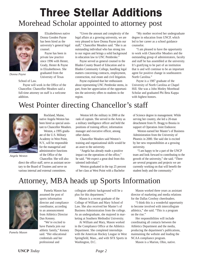## Three Stellar Additions Morehead Scholar appointed to attorney post

![](_page_3_Picture_1.jpeg)

*Donna Payne*

School of Law.

Payne will work in the Office of the Chancellor. Chancellor Meadors said a full-time attorney on staff is a welcome addition.

counsel.

Elizabethtown native Donna Gooden Payne has been hired as the university's general legal

Payne has been in private law practice since 1996 with Hester, Grady, Hester & Payne in Elizabethtown. She graduated from the University of Texas

Rockland, Maine, native Angela Weston has been hired as special assistant to Chancellor Meadors. Weston, a 1995 graduate of the U.S. Military Academy in West Point, N.Y., will be responsible for the managerial and administrative functions of the Office of the

"Given the amount and complexity of the legal affairs at a growing university, we are very pleased to have Donna Payne join our staff," Chancellor Meadors said. "She is an outstanding individual who has strong ties to our region and brings a solid background in education law to UNC Pembroke."

Payne served as general counsel to the Bladen County Board of Education and to Bladen Community College, handling legal matters concerning contracts, employment, construction, real estate and civil litigation.

Payne explained that her enthusiasm about representing UNC Pembroke stems, in part, from her appreciation of the opportunities the university offers to students in the region.

"My mother received her undergraduate degree in education from UNCP, which led to her career as a school guidance counselor.

"I am pleased to have the opportunity to work with Chancellor Meadors and the outstanding group of administrators, faculty and staff he has assembled at the university. It's gratifying to be part of an institution that is and will continue to be an important agent for positive change in southeastern North Carolina."

Payne is a 1987 graduate of the University of North Carolina at Chapel Hill. She was a John Motley Morehead Scholar and graduated Phi Beta Kappa with highest honors.

## West Pointer directing Chancellor's staff

![](_page_3_Picture_12.jpeg)

*Angela Weston*

Chancellor. She will also direct the office staff, serve as assistant secretary to the Board of Trustees and serve on various internal and external committees.

Weston left the military in 2000 at the rank of captain. She served in the Army as a military intelligence officer and held the positions of training officer, information manager and executive officer, among other duties.

Chancellor Meadors said Weston's training and organizational skills would be an asset to the university.

"Angela has already made a positive impact on the operations of the office," he said. "We expect a great deal from this talented individual."

Weston graduated in the top 25 percent of her class at West Point with a Bachelor

of Science degree in management. While serving her country, she led a 20-man detachment from Ft. Bragg to Bosnia in support of Operation Joint Endeavor.

Weston earned her Master's of Business Administration from the University of Phoenix in 2000. She said she is excited by her new responsibilities at a growing university.

"I am happy to be a part of the UNCP team and look forward to contributing to the growth of the university," she said. "There are several programs and projects we are currently working on that will benefit the student body and the community."

## Attorney, MBA heads up Sports Information

![](_page_3_Picture_23.jpeg)

*Pamela Mason*

Pamela Mason has assumed the post of sports information director and compliance coordinator, according to an announcement from Athletics Director Dan Kenney.

"We're excited to have Pamela join our athletic family," Kenney said. "Her educational credentials and her professional and

collegiate athletic background will be a plus for this department."

Mason is a recent graduate of the College of William and Mary School of Law. She also received her Master's of Business Administration from the college. As an undergraduate, she majored in marketing at Southern Methodist University.

At William and Mary, Mason worked in the Compliance Office at the Athletics Department. She completed internships with the American Hockey League in West Springfield, Mass., and with SFX Sports in Washington, D.C.

Mason worked three years as assistant director of marketing and media relations for the Dallas Cowboy cheerleaders.

"I think this is a wonderful opportunity to become involved with intercollegiate athletics," she said. "This is a program on the rise."

Her responsibilities will include coordinating all contacts between the Athletics Department and the media, producing the department's publications, maintaining the website and leading the NCAA compliance program.

Mason is a Marion, Ohio, native.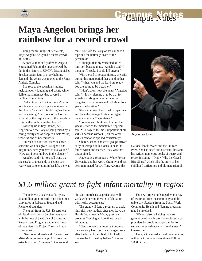# Campus Notes

## **Maya Angelou brings her rainbow for a record crowd**

Using the full range of her talents, Maya Angelou delighted a record crowd of 2,600.

A poet, author and professor, Angelou entertained Feb. 26 the largest crowd, by far, in the history of UNCP's Distinguished Speaker series. Due to overwhelming demand, the venue was moved to the Jones Athletic Complex.

She rose to the occasion, singing, reciting poetry, laughing and crying while delivering a message that covered a rainbow of emotions.

"When it looks like the sun isn't going to shine any more, God put a rainbow in the clouds," she said introducing her theme for the evening. "Each one of us has the possibility, the responsibility, the probability to be the rainbow in the clouds."

Growing up in tiny Stamps, Ark., Angelou told the story of being raised by a caring family and of crippled Uncle Willie, who was one of her rainbows.

"In each of our lives, there has been someone who has given us support and inspiration. Now you have to ask yourself, 'How can I be a rainbow in the clouds?'"

Angelou said it is no small irony that she speaks to thousands of people each year when, at one point in her life, she was mute. She told the story of her childhood rape and the untimely death of the perpetrator.

"I thought that my voice had killed him, so I became mute," Angelou said. "I thought if I spoke I could kill anyone."

With the aid of several tissues, she said, during this mute period, her grandmother said, "When you and the Lord are ready, you are going to be a teacher."

"I don't know how she knew," Angelou said. "It is my blessing ... to be that for somebody. My grandmother was the daughter of an ex-slave and had about four years of education."

She encouraged the crowd to reject fear and have the courage to stand up against racial and ethnic "pejoratives."

"Sometimes I think we climb up the weakest side of the mountain," Angelou said. "Courage is the most important of all virtues because without it, all the other virtues cannot be applied consistently."

Church, school and civic groups arrived early on campus in busloads to hear the famed writer and teacher. They were not disappointed.

Angelou is a professor at Wake Forest University and has won a Grammy and has been nominated for two Tony Awards, the

![](_page_4_Picture_17.jpeg)

*Angelou performs*

National Book Award and the Pulitzer Prize. She has acted and directed films and has written numerous books of poetry and prose, including "I Know Why the Caged Bird Sings," which tells the story of her childhood difficulties and ultimate triumph.

## *\$1.6 million grant to fight infant mortality in region*

The university has won a four-year, \$1.6 million grant to battle high infant mortality rates in Robeson, Scotland and Richmond counties.

The grant from the U.S. Department of Health and Human Services was won with the help of the Office of Sponsored Research and Programs and many friends of the university, Project Director Linda Greaver said.

"Sen. John Edwards and Congressman Mike McIntyre were helpful in procuring extra funds from Congress," Greaver said.

"It is a comprehensive project that will work with new mothers in collaboration with health departments."

The grant will fund a program to track high-risk, new mothers after they leave the Health Department's 60-day postnatal program. Tracking will continue for up to 24 months.

"New mothers are important because they are very likely to conceive again soon after the birth of their first child; healthy mothers lead to healthy babies," Greaver said.

The new project pulls together an array of resources from the community and the university. Students from the Social Work, Community Health and Nursing programs may be involved.

"We will also be helping the next generation of health care and social service providers by providing opportunities for students to experience civic involvement," Greaver said.

The grant is aimed at rural communities with infant mortality rates above 10.8 per 1,000 births.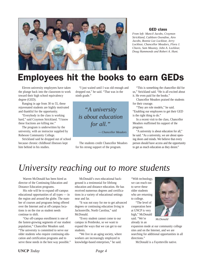![](_page_5_Picture_0.jpeg)

#### GED class

*From left: Mancil Jacobs, Craymon Strickland, Cathleen Oxendine, Airo Jacobs, Bonnie Lee Locklear, Jerry Locklear, Chancellor Meadors, Flora J. Chavis, Sam Mauney, John A. Locklear, Doug Hammonds and Robert A. Hunt.*

## Employees hit the books to earn GEDs

Eleven university employees have taken the plunge back into the classroom to work toward their high school equivalency degree (GED).

Ranging in age from 30 to 55, these rejuvenated students are highly motivated and thankful for the opportunity.

"Everybody in the class is working hard," said Craymon Strickland. "I know these fractions are killing me."

The program is underwritten by the university, with an instructor supplied by Robeson Community College.

Strickland said he dropped out of school because chronic childhood illnesses kept him behind in his studies.

"I just waited until I was old enough and dropped out," he said. "That was in the ninth grade."

*"A university is about education for all."*

*— Chancellor Meadors*

The students credit Chancellor Meadors for his strong support of the program.

"This is something the chancellor did for us," Strickland said. "He is all excited about it. He even paid for the books."

Chancellor Meadors praised the students for their courage.

"They are role models," he said. "Enabling our employees to get their GED is the right thing to do."

In a recent visit to the class, Chancellor Meadors reaffirmed his support of the program.

"A university is about education for all," he said. "As a university, we are about opening doors and minds. We believe that every person should have access and the opportunity to get as much education as they desire."

## *University reaching out to more students*

Warren McDonald has been hired as director of the Continuing Education and Distance Education programs.

His role will be to expand off-campus educational opportunities of all types — in the region and around the globe. The number of courses and programs being offered over the Internet and at off-campus locations is on the rise as student needs continue to shift.

"Our off-campus enrollment is one of the fastest-growing segments of our student population," Chancellor Meadors said. "The university is committed to serve our older students who require continuing education and certification programs and to serve these needs in the best way possible."

McDonald's own educational background is a testimonial for lifelong education and distance education. He has received numerous degrees and certifications in a variety of educational settings near and far.

"It was not easy for me to get advanced degrees or continuing education living in Jacksonville, North Carolina," said McDonald.

"Every student cannot come to our campus in Pembroke, so we want to expand the ways that we can get to our students.

"We live in an aging society, where workers are increasingly employed in knowledge-based enterprises," he said.

"With technology, we can reach out to serve these older students who are returning to college.

"The level of cooperation here at UNCP is very high," McDonald said. "We're already in an

![](_page_5_Picture_28.jpeg)

*McDonald*

expansion mode at our community college sites and on the Internet, and we are searching for additional opportunities in all directions."

McDonald is a Fayetteville native.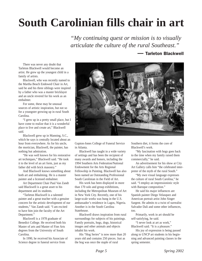# **South Carolinian fills chair in art**

*"My continuing quest or mission is to visually articulate the culture of the rural Southeast."*

### — Tarleton Blackwell

There was never any doubt that Tarleton Blackwell would become an artist. He grew up the youngest child in a family of artists.

Blackwell, who was recently named to the Martha Beach Endowed Chair in Art, said he and his three siblings were inspired by a father who was a master bricklayer and an uncle revered for his work as an embalmer.

For some, these may be unusual sources of artistic inspiration, but not so for a youngster growing up in rural South Carolina.

"I grew up in a pretty small place, but I have come to realize that it is a wonderful place to live and create art," Blackwell said.

Blackwell grew up in Manning, S.C., which he says is centrally located about an hour from everywhere. As for his uncle, the mortician, Blackwell, the painter, has nothing but admiration.

"He was well known for his restorative art techniques," Blackwell said. "He took it to the level of an art form, just as my father did with brick masonry."

And Blackwell knows something about both art and embalming. He is a master painter and a licensed embalmer.

Art Department Chair Paul Van Zandt said Blackwell is a great asset to his department and its students.

"Tarleton Blackwell is a talented painter and a great teacher with a genuine concern for the artistic development of our students," Van Zandt said. "I am excited to have him join the faculty of the Art Department."

Blackwell is a 1978 graduate of Benedict College. He received both his Master of arts and Master of Fine Arts degrees from the University of South Carolina.

In 1990, he received his Associate of Science degree in funeral service from

![](_page_6_Picture_14.jpeg)

Gupton-Jones College of Funeral Service in Atlanta.

Blackwell has taught in a wide variety of settings and has been the recipient of many awards and honors, including the 1994 Southern Arts Federation/National Endowment for the Arts Regional Fellowship in Painting. Blackwell has also been named an Outstanding Professional South Carolinian in the Field of Art.

His work has been displayed in more than 170 solo and group exhibitions, including the Metropolitan Museum of Art in New York City. Recently, one of his large-scale works was hung in the U.S. ambassador's residence in Lagos, Nigeria. Another is in the South Carolina Statehouse.

Blackwell draws inspiration from rural surroundings for subjects of his paintings. Family portraits, hogs, dogs, historical images and other animals and objects inhabit his work.

His "Hog Series" is now more than 20 years old and contains 250 pieces. Just as the hog was once the staple of rural

Southern diet, it forms the core of Blackwell's work.

"My fascination with hogs goes back to the time when my family raised them commercially," he said.

An advertisement for his show at City Art Gallery calls him "the celebrated interpreter of the myth of the rural South."

"My own visual language expresses the culture of rural South Carolina," he said. "I employ an impressionistic style with Baroque composition."

He said his major influences are Spanish painter Diego Velasquez and American portrait artist John Singer Sargent. He admits to a twist of surrealist Salvador Dali and some other influences, too.

Primarily, work in art should be self-satisfying, he said.

"I never look at art as work," Blackwell said. "It is a pleasure."

His joy of expression is being passed along to UNCP art students in his beginning and advanced painting classes in the spring semester.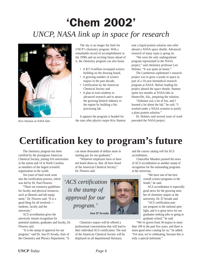# 'Chem 2002' *UNCP, NASA link up in space for research*

![](_page_7_Picture_1.jpeg)

*Kris Stanton at NASA labs*

The sky is no longer the limit for UNCP's chemistry program. With a remarkable record of accomplishment in the 1990s and an exciting future ahead of it, the chemistry program can also boast:

- A \$17.4-million revamped science building on the drawing board,
- A growing number of science majors in the past decade,
- Certification by the American Chemical Society and
- A plan to train students in advanced research and to attract the growing biotech industry to the region by building a bio processing lab.

It appears the program is headed for the stars after physics major Kris Stanton

sent a liquid protein solution into orbit aboard a NASA space shuttle. Advanced research of many types is going on.

"We were the only undergraduate program represented in the NASA project," said chemistry professor Len Holmes. "It was quite an honor."

The Lumberton sophomore's research project was to grow crystals in space as part of a 10-year biomedical research program at NASA. Before loading his project aboard the space shuttle, Stanton spent two months at NASA labs in Huntsville, Ala., preparing the solution.

"Alabama was a lot of fun, and I learned a lot about the lab," he said. "I worked under a NASA scientist to purify a plant protein solution."

Dr. Holmes said several years of work preceded the NASA project.

## **Certification key to program's future**

The chemistry program has been certified by the prestigious American Chemical Society, joining 616 universities in the nation and 14 in North Carolina as members of the largest scientific organization in the world.

Ten years of hard work went into the certification process, which was led by Dr. Paul Flowers.

"There are extensive guidelines for faculty and physical resources, such as libraries and lab equipment," Dr. Flowers said. "It is a good thing for all involved students, faculty and the university."

ACS accreditation gives the university instant recognition for potential students, graduates and faculty, Dr. Flowers said.

"It is the stamp of approval for our program," said Dr. Jose D'Arruda, chair of the Chemistry and Physics Department. "It can mean thousands of dollars more in starting pay for our graduates."

"Whatever employers have or have not heard about us, they all have heard of the American Chemical Society," Dr. Flowers said.

*'ACS certification is the stamp of approval for our program.'*

**Jose D'Arruda**

Chemistry majors will be offered a professional concentration that will lead to their individual ACS certification. The seal of the American Chemical Society will be displayed on all departmental literature,

and the course catalog will list ACS accreditation.

Chancellor Meadors praised the news of ACS accreditation as another stamp of recognition for the outstanding programs at the university.

> "We have one of the best overall science programs in the South," he said.

ACS accreditation is especially good news for the growing number of chemistry majors at the university, Dr. D'Arruda said.

"ACS certification puts our program in the national spotlight, and it is great news for our graduates seeking jobs or going to graduate school," he said.

"We've grown from 30 majors to more than 100 in the past five years, and there is more good news coming for us," he added. "For now, we're celebrating, because this is truly a special milestone."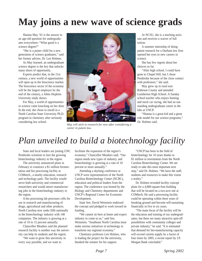# **May joins a new wave of science grads**

Shanna May '01 is the answer to an age-old question for undergraduates everywhere: "What good is a science degree?"

"She is a poster child for a new generation of science graduates," said her former adviser, Dr. Len Holmes.

As May learned, an undergraduate science degree is the key that unlocks many doors of opportunity.

Experts predict that, in the 21st century, a new world of opportunities will open up in the bioscience market. The bioscience sector of the economy will be the largest employer by the end of the century, a Johns Hopkins University study shows.

For May, a world of opportunities in science came knocking on her door. In the end, she chose to enroll in a North Carolina State University Ph.D. program in chemistry after seriously considering law school.

![](_page_8_Picture_6.jpeg)

*May will stick to research for now after considering a career in patent law.*

At NCSU, she is a teaching assistant and receives a waiver of full tuition.

A summer internship of doing patent research for a Durham law firm opened her eyes to new careers in science.

She has few regrets about her choices so far.

"After high school, I could have gone to Chapel Hill, but I chose Pembroke because of the close contact with professors," she said.

May grew up in rural east Robeson County and attended Lumberton High School. A Sunday school teacher who enjoys hunting and stock car racing, she had an outstanding undergraduate career in the labs at UNCP.

"Shanna is a great kid and a great role model for our science programs," Dr. Holmes said.

## *Plan unveiled to build a biotechnology facility*

State and local leaders are joining UNC Pembroke scientists to lure the growing biotechnology industry to the region.

The university announced plans in February to construct a \$1 million fermentation and bio processing facility at COMtech., a nearby education, research and technology park. The facility would serve both university and commercial researchers and would attract manufacturing jobs in the biotechnology industry to the region.

A bio processing lab processes cells for use in research and manufacturing of drugs, agricultural and other products. North Carolina now ranks fifth nationally in the biotechnology industry with 140 companies. The industry is growing at a rate of 10 to 15 percent annually.

Chancellor Meadors said the planned research facility is another way the university can help its students and the region.

"We want to grow this university in every way possible, and we want to

facilitate the expansion of the region's economy," Chancellor Meadors said. "Our region needs new types of industry, and biotechnology is growing at a rate of 10 percent or more annually."

Attending a daylong conference at UNCP were representatives of the North Carolina Biotechnology Center (NCBC), education and political leaders from the region. The conference was hosted by the Biology and Chemistry departments and UNCP's Regional Center for Economic Development.

State Sen. David Weinstein endorsed the concept and pledged to work toward its funding.

"We cannot sit here at home and expect industry to come to us," said Sen. Weinstein. "Southeast North Carolina must make serious initiatives in technology to transform our regional economy."

Chemistry professor Len Holmes, who is leading the project for the university, thanked the senator for his support.

"UNCP has been in the field of biotechnology for 10 years thanks to \$1 million in investments from the North Carolina Biotechnology Center. We are ready to take this most important next step," said Dr. Holmes. "We have the staff, students and resources to make this vision a reality."

Dr. Holmes revealed facility concept plans for a 4,800-square-foot building that will be located on a two-acre site at COMtech. He said a processing facility could be operating within three years of breaking ground and become self-sustaining financially in five to six years.

"The main focus of the facility will be the education and training of our undergraduates, but there are many attractive spin-off possibilities with community colleges and private industry," he said. "It is estimated that demand for bio-manufacturing capacity will exceed current supply by a factor of four times by 2005, a recent report by J.P. Morgan Bank concluded."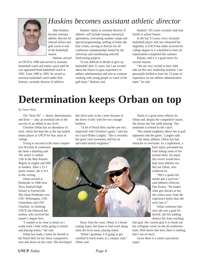![](_page_9_Picture_0.jpeg)

## *Haskins becomes assistant athletic director*

John Haskins became assistant athletic director for internal affairs and golf coach at end of the basketball season.

Haskins arrived

at UNCP in 1989 and served as assistant basketball coach and tennis coach until he was appointed head basketball coach in 1992. From 1989 to 1992, he served as assistant basketball coach under Dan Kenney, currently director of athletics.

Haskins' duties as assistant director of athletics will include issuing contractual agreements, overseeing summer camps and special programming, staffing of home athletic events, serving as director for all conference championships hosted by the university and coordinating selected fund-raising projects.

"It was difficult to decide to give up basketball after 21 years, but I am excited about the chance to gain experience in athletic administration and also to continue working with young people as coach of the golf team," Haskins said.

Haskins' 105 career victories rank him fourth in school history.

In the last 13 years, every recruited basketball player who has exhausted his eligibility at UNCP has either received his college degree or is scheduled to have all requirements completed this summer.

Kenney said it is a good move for several reasons.

"We are very excited to have John take on this new leadership position. I am personally thrilled to have his 13 years of experience on our athletic administration team," he said.

## **Determination keeps Orban on top**

#### *by Gavin Wyse*

The "three Ds" — desire, determination and drive — play an essential role in the success of an athlete at any level.

Christine Orban has an abundance of each, which has kept her as the top-ranked tennis player at UNCP for four years of college.

Trying to succeed in the most competi-

tive Division II conference has been a daunting task. The senior is ranked 13th in the Mid-Atlantic Region in singles and fifth in doubles. After a 15-7 junior season, she is 9-4 at this writing.

Orban arrived at Pembroke in 1998 from Terry Sanford High School in Fayetteville. She chose Pembroke over UNC Wilmington, UNC Greensboro and UNC Charlotte. In choosing UNCP, she followed her mother, who received her master's degree here.

"I wanted to be close to home so I could work a little while going to school and playing tennis," she said.

Orban has made a name for herself in the Peach Belt for her fierce competitiveness and desire on the court. She developed this drive early in her career because of the fierce rivalry with her two younger brothers.

"A lot of Peach Belt coaches are very impressed with Christine's game," said tennis Coach Robin Langley. "She is versatile, has great court awareness and has an unrivaled mental toughness."

Tennis is a great stress reliever for Orban and, despite her competitive nature, she always has fun while playing. This sentiment is echoed by her coach.

"Her mental toughness allows her to pull opponents into her game," Langley said.

Like many athletes, Orban has had obstacles to overcome. As a sophomore, a

![](_page_9_Picture_25.jpeg)

Away from the court, Orban is a broadcasting major, but plans to find work doing what she loves most, playing tennis.

"When I graduate, I'm going to get certified to teach tennis at a country club," Orban said.

back injury prevented her from hitting some of her normal shots. An injury this severe would have kept most athletes out. But not Orban, who soldiered on.

"She's a good role model and a survivor," said Athletics Director Dan Kenny. "No matter what gets thrown at her, she comes away from the experience better than she went into it."

Orban confesses that once she sets a goal for herself, she lets nothing distract her from reaching

that goal. Her current goal is to finish out her collegiate career on the all-conference team. With desire like hers, there is nothing that's out of reach.

*Gavin Wyse is a senior journalism major.*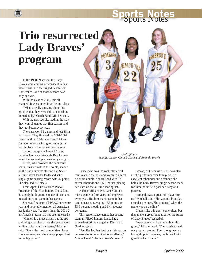# Sports Notes

# **Trio resurrected Lady Braves' program**

In the 1998-99 season, the Lady Braves were coming off consecutive lastplace finishes in the rugged Peach Belt Conference. One of those seasons saw only one win.

**HH** 

With the class of 2002, this all changed. It was a once-in-a-lifetime class.

"What is really amazing about this group is that they were able to contribute immediately," Coach Sandi Mitchell said.

With the new recruits leading the way, they won 16 games that first season, and they got better every year.

The class won 61 games and lost 38 in four years. They finished the 2001-2002 season with an 18-9 record and 12 Peach Belt Conference wins, good enough for fourth place in the 12-team conference.

Senior co-captains Ginnell Curtis, Jennifer Lance and Amanda Brooks provided the leadership, consistency and grit.

Curtis, who provided the backcourt spark, finished with 2,061 points, second on the Lady Braves' all-time list. She is all-time assist leader (570) and set a single-game scoring record with 47 points. She also had 348 steals.

From Apex, Curtis earned PBAC Freshman of the Year honors. The 5-foot-4, slightly built guard is made of steel and missed only one game in her career.

She was first team all-PBAC her senior year and honorable mention all-American her junior year. (At press time, the 2001-2 all-American team had not been released.)

"Ginnell is a great player, but the special thing about her is that she was always willing to learn and get better," Mitchell said. "She is the most competitive player I've ever seen, and she always played best in the big games."

![](_page_10_Picture_12.jpeg)

*Jennifer Lance, Ginnell Curtis and Amanda Brooks*

Lance, who was the rock, started all four years in the post and averaged almost a double-double. She finished with 870 career rebounds and 1,537 points, placing her sixth on the all-time scoring list.

A Hope Mills native, Lance did not miss a game in four years and improved every year. Her best marks came in her senior season, averaging 18.5 points on 53.9 percent shooting and 9.4 rebounds per game.

This performance earned her second team all-PBAC honors. Lance had a career-best 36 points against Division I Gardner-Webb.

"Jennifer had her best year this season because she is committed to excellence," Mitchell said. "She is a coach's dream."

Brooks, of Greenville, S.C., was also a solid performer over four years. An excellent rebounder and defender, she holds the Lady Braves' single-season mark for three-point field goal accuracy at 40 percent.

"Amanda was a great role player for us," Mitchell said. "She was our best player under pressure. She produced when the game was on the line."

Classes like this don't come often, but they make a great foundation for the future of Lady Braves' basketball.

"Awesome is all I can say about this group," Mitchell said. "These girls turned our program around. Even though we are losing 40 points a game, the future looks great thanks to them."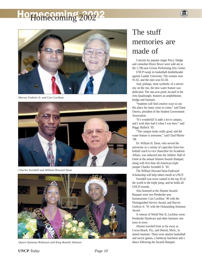# <sup>O</sup>Homecoming 2002

![](_page_11_Picture_1.jpeg)

*Harvey Godwin Jr. and Curt Locklear*

![](_page_11_Picture_3.jpeg)

*Charles Swindell and William Howard Dean*

![](_page_11_Picture_5.jpeg)

*Queen Quianna Robinson and King Ronald Johnson*

## The stuff memories are made of

Concerts by popular singer Percy Sledge and comedian Bruce Bruce were sold out at the 1,700-seat Givens Performing Arts Center.

UNCP swept its basketball doubleheader against Lander University. The women won 91-65, and the men won 65-58.

And, perhaps, most symbolic of a university on the rise, the new water feature was dedicated. The one-acre pond, located in the Arts Quadrangle, features an amphitheater, bridge and fountain.

"Students will find creative ways to use this place for many years to come," said Dane Onorio, president of the Student Government Association.

"It's wonderful! It adds a lot to campus, and I wish they had it when I was here," said Peggy Bullock '85.

"The campus looks really good, and the water feature is awesome," said Chad Martin '98.

Dr. William H. Dean, who served the university in a variety of capacities from basketball coach to vice chancellor for Academic Affairs, was inducted into the Athletic Hall of Fame at the annual Alumni Awards Banquet, along with five-time all-American triple jumper Charles Swindell Jr. '82.

The William Howard Dean Endowed Scholarship will help others enroll at UNCP.

Swindell was twice ranked in the top 50 of the world in the triple jump, and he holds all UNCP records.

Also honored at the Alumni Awards Banquet were two Pembroke area businessmen: Curt Locklear '49 with the Distinguished Service Award, and Harvey Godwin Jr. '91 with the Outstanding Alumnus Award.

A veteran of World War II, Locklear owns Pembroke Hardware and other business ventures in town.

Alumni traveled from as far away as Cocoa Beach, Fla., and Detroit, Mich., to attend reunions. There were alumni basketball and soccer games, a barbecue luncheon and a dance following the Awards Banquet.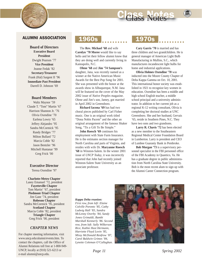![](_page_12_Picture_0.jpeg)

### ALUMNI ASSOCIATION

**Board of Directors Executive Board President** Dwight Pearson '77 **Vice President** Jeanne Fedak '82 **Secretary/Treasurer** Frank (Hal) Sargent II '96 **Immediate Past President** Darrell D. Johnson '69

#### **Board Members**

Waltz Maynor '59 Claude T. "Tom" Martin '67 Harrison Shannon Jr. '76 Olivia Oxendine '70 Earlena Lowry '65 Jeffery Alejandro '95 Sandra McCormick '95 Randy Bridges '77 Milton Bullard '72 Marcia Coble '82 Jason Bentzler '96 Mitchell Huntanar '99 Greg Frick '00

#### **Executive Director**

Teresa Oxendine '97

#### **Charlotte-Metro Chapter**

Laney Emanuel '72, president **Fayetteville Chapter** Tom Martin' '67, president **Piedmont-Triad Chapter** Jim Gane '74, president **Robeson Chapter** Sandra McCormick '95, president **Scotland Chapter** Marcia Coble '82, president **Triangle Chapter** Greg Frick '00, president

#### *CHAPTER NEWS*

For chapter meeting information, visit www.uncp.edu/alumni/events.htm. To contact the chapters, call the Office of Alumni Relations toll free at 1-800-949- UNCP, locally at (910) 521-6213 or e-mail alumni@uncp.edu.

## 1960s 1970s

The **Rev. Michael '68** and wife **Carolyn '70 Moree** would like to say hello and let their fellow alumni know that they are doing well and currently living in Kannapolis, N.C.

**Olene '68** and **Jim '74 Sampson's** daughter, Jana, was recently named as a winner at the Native American Music Awards for the Best Pop Song for 2001. She was presented with the honor at the awards show in Albuquerque, N.M. Jana will be featured on the cover of the May 2002 issue of *Native Peoples* magazine. Olene and Jim's son, Jamey, got married in April 2002 in Greensboro.

**Richard Iacona '69** has had two choral pieces published by Carl Fisher music. One is an original work titled "Dona Nobis Pacem" and the other an original arrangement of the famous Shaker Song, "Tis a Gift To Be Simple."

**John Roesch '69** continues his employment with State Farm Insurance. He is the estimates section manager for North Carolina and parts of Virginia, and resides with wife Dr. **Maryanne Roesch '68** in Winston-Salem. In the winter 2001 issue of *UNCP Today*, it was incorrectly reported that John had recently joined Winston-Salem State University as an associate professor.

Class Notes

**Cary Garris '70** is married and has three children and two grandchildren. He is general manager of American Light Bulb Manufacturing in Mullins, S.C., which manufactures incandescent light bulbs for home and industrial applications.

**Olivia Holmes Oxendine '70** was inducted into the Moore County Chapter of Delta Kappa Gamma on Oct. 10, 2001. This international honor society was established in 1921 to recognize key women in education. Oxendine has been a middle and high school English teacher, a middle school principal and a university administrator. In addition to her current job as a regional K-12 writing consultant, Olivia is completing her doctoral studies at UNC Greensboro. She and her husband, Gervais '65, reside in Southern Pines, N.C. They have two sons and two grandsons.

**Larry R. Chavis '72** has been elected as a new member to the Southeastern Regional Medical Center Foundation Board in Lumberton. Larry is president and CEO of Lumbee Guaranty Bank in Pembroke.

**Bob Morgan '73** is a supervisory personnel specialist in the FBI personnel office of the FBI Academy in Quantico, Va. He has a graduate degree in public administration from North Carolina State University. Bob is the most recent alum to sign up with the Alumni Career Connection program.

#### *Kappa Delta reunion:*

*First row, from left: Elaine Colville Poronto '85, Cathy Ludwig Hall '83, Sandra McLenny Overby '84, Sandy Jones Grimaldi, Bambi Marshall Kennerly '86. Second row, from left: Sally Wilkerson Rice, Kathie Hust Hermann, Harriette Floyd Lovin '85, Missy McDonald Renfrow '87, Carol Baldwin Grimes '84, Lynette Coleman O'Callaghan.*

![](_page_12_Picture_23.jpeg)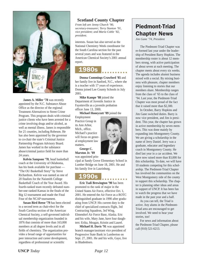![](_page_13_Picture_0.jpeg)

**James A. Miller '78** was recently appointed by the N.C. Substance Abuse Office as the director of the regional Treatment Alternatives to Street Crime Program. This program deals with criminal justice clients who have been arrested for a crime involving drugs and/or alcohol, as well as mental illness. James is responsible for 21 counties, including Robeson. He has also been appointed by the governor to co-chair the state's Criminal Justice Partnership Program Advisory Board. James has worked in the substance abuse/criminal justice field for more than 24 years.

**Kelvin Sampson '78**, head basketball coach at the University of Oklahoma, has his book available for purchase — "The OU Basketball Story" by Steve Richardson. Kelvin was named as one of 20 finalists for the Naismith College Basketball Coach of the Year Award. His fourth-ranked team recently defeated number-one ranked Kansas in the finals of the Big 12 tournament and made the Final Four of the NCAP tournament.

**Susan Bird Reese '79** has been elected to a second term as chair-elect for the South Carolina section of the American Chemical Society, a self-governed individual membership organization founded in 1876 that consists of more than 163,000 members at all degree levels and in all fields of chemistry. The organization provides a broad range of opportunities for peer interaction and career development, regardless of professional or scientific

#### **Scotland County Chapter**

*From left are Jenny Church '90, secretary-treasurer; Terry Stanton '91, vice president; and Maria Coble '82, president.*

interests. Susan has also served as the National Chemistry Week coordinator for the South Carolina section for the past several years and was featured in the American Chemical Society's 2001 annual report.

### 1980s

**Donna Cummings Crawford '85** and her family live in Sanford, N.C., where she is a teacher with 17 years of experience. Donna joined Lee County Schools in July 2001.

**Mike Kampe '88** joined the Department of Juvenile Justice in Fayetteville as a juvenile probation officer June 13, 2000.

**Michael Honeycutt '89** joined the

Employment Practice Group in its Ann Arbor, Mich., office. Michael's practice will focus on general employment law matters.

**George C. Marston Jr. '89**

was appointed principal at Sandy Grove Elementary School in Lumber Bridge on June 18, 2001. He and his family live in Laurinburg.

### 1990s

**Eric Tsali Brewington '90** has been promoted to the rank of major in the United States Air Force, effective Oct. 1, 2001. He entered the Air Force as a ROTC distinguished graduate in 1990 after graduating from UNCP. His current duty is the chief of specialized contracts flight, 3rd Contracting Squadron, 3rd Wing, Elmendorf Air Force Base, Alaska. Eric and his wife, Mary Jane, have four daughters: Erika, Meagan, Kristin and Laurel.

**Michael H. Davis '91** was appointed branch manager/assistant vice president of Progressive State Bank in Lumberton on Sept. 27, 2001. He and his wife, Gaye, live in Bladenboro.

## Piedmont-Triad Chapter News

*Jim Gane '74, President*

The Piedmont-Triad Chapter was re-formed last year under the leadership of President Barry Hopkins. The membership roster is about 12 members strong, with active participation of about seven at each meeting. The chapter meets about every six weeks. The agenda includes alumni business mixed with a social. By mixing business with pleasure, chapter members enjoy listening to stories that our members share. Membership ranges from the class of '65 to the class of '94. Last year, the Piedmont-Triad Chapter was most proud of the fact that it raised more than \$2,300.

In October, Barry Hopkins and Jim Gane switched duties. Barry is now vice president, and Jim is president. This year, the chapter has grown in active membership by seven members. This was done mainly by expanding into Montgomery County. We are giving a scholarship in the name of Jerry Daniel. Jerry was a graduate, educator and legendary coach in Montgomery County. He died last year in a car accident. We have now raised more than \$3,000 for this scholarship. To date, we will have 10 students competing for this scholarship. The Piedmont-Triad Chapter has involved the communities on the West Montgomery side of the county to support this scholarship. The chapter is planning other ideas and areas in support of UNCP. It has been fun to watch the progress that we have made in the past year and a half.

As you can tell, the Triad is active. Any alums in the Piedmont-Triad area are encouraged to get involved. We need to hear your stories, too!

For news and information about the Piedmont-Triad Chapter, please call (910) 521-6213.

![](_page_13_Picture_23.jpeg)

**AAAAAAA**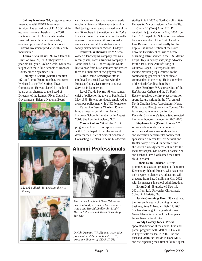**Johnny Karshner '91**, a registered representative with BB&T Investment Services, has earned one of PLACO's highest honors — membership in the 2001 Captain's Club. PLACO, a wholesaler of financial products, honors reps who, in one year, produce \$1 million or more in Hartford investment products with a club membership.

**Laura Alicia Chavis '92** wed James E. Davis on Nov. 20, 1993. They have a 3 year-old daughter, Taylor Nicole. Laura has taught with the Public Schools of Robeson County since September 1999.

**Tommy O'Briant (Brian) Freeman '92**, an Alumni Board member, was recently elected to the Red Springs Town Commission. He was elected by the local board as an alternate to the Board of Directors of the Lumber River Council of Governments. Brian, a National Board

![](_page_14_Picture_3.jpeg)

certification recipient and a second-grade teacher at Peterson Elementary School in Red Springs, was recently named one of the top 40 teachers in the nation by *USA Today*. His award selection was based on his willingness to do whatever it takes to make students successful. His students have fondly nicknamed him "School Daddy."

**Robert T. Williamson Jr. '92**, who owned a landscaping company that was recently sold, owns a trucking company in Johns Island, S.C. Robert says he would like to hear from his classmates and invites them to e-mail him at rtw@dycon.com.

**Elaine Deese Brewington '93** is employed as a social worker with the Robeson County Department of Social Services in Lumberton.

**Royal Travis Bryant '93** was named chief of police for the town of Pembroke in May 1999. He was previously employed as a campus policeman with UNC Pembroke.

**Katharine Denise Charles '95** was hired as media specialist for Janie C. Hargrove School in Lumberton in August 2001. She lives in Rowland, N.C.

**Marcus Collins '96** left the TRIO programs at UNCP to accept a position with UNC Chapel Hill as the assistant dean for the Office of Student Academic Counseling. He plans to begin his doctoral

![](_page_14_Picture_10.jpeg)

*Edward Bullard '85, assistant district attorney*

![](_page_14_Picture_12.jpeg)

### Alumni Professionals

![](_page_14_Picture_14.jpeg)

*Mary Alice Pinchbeck Teets '58, retired principal and part-time school administrator, and Harold Lindbergh "Lindy" Martin '52, Personal Touch Consulting Services.*

*Dwight Pearson '77, Alumni Association president, and Anthony Locklear '79, executive director of GEAR IT UP.*

studies in fall 2002 at North Carolina State University. Marcus resides in Morrisville.

**Curtis H. (Trey) Allen III '97**, received his juris doctor in May 2000 from the UNC Chapel Hill School of Law, where he was a member of the North Carolina Law Review. He worked briefly for the Capital Litigation Section of the North Carolina Department of Justice before beginning active service in the U.S. Marine Corps. Trey is deputy staff judge advocate for the 1st Marine Aircraft Wing in Okinawa, Japan. His responsibilities include providing legal counsel to the commanding general and subordinate commanders in the wing. He is a member of the North Carolina State Bar.

**Joel Beachum '97**, sports editor of the *Red Springs Citizen* and the *St. Pauls Review*, received the first-place award for sports feature writing in the 77th annual North Carolina Press Association's News, Editorial and Photojournalism Contest. This is the second win in a row for Joel. Recently, Strathmore's *Who's Who* selected him as an honored member for 2002-2003.

**Stephanie Ann (Eaton) Harvie '97** serves as directorate of community activities and services/morale welfare and recreation department's commercial sponsorship director for Fort Stewart and Hunter Army Airfield. In her free time, she writes a weekly church column for the local newspaper, *The Coastal Courier*. She and husband David welcomed their first child in March.

**Robert Dean Locklear '97** was promoted to assistant principal at Pembroke Elementary School. Robert, who has a master's degree in elementary education, will graduate from East Carolina in May 2002 with his master's in school administration.

**Brian Dial '98** graduated Dec. 16, 2001, from Life University Chiropractic School in Marietta, Ga.

**Jackie Cummings Hunt '98** celebrated the first anniversary of owning her own business, Pens & Needles, Feb. 17, 2001. She has also taught first grade at Piney Grove Elementary School for four years. Jackie lives in Pembroke.

**Wendy Lowery Jones '99** was appointed director of the annual fund and parent programs with Methodist College in Fayetteville on Jan. 2, 2002. She and husband, **John '99**, reside in Hope Mills and are expecting their first child in August.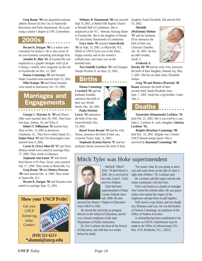**Greg Roane '99** was appointed assistant athletic director for the City of Statesville Recreation and Parks Department. He is pursuing a master's degree at UNC Greensboro.

### 2000s

**Bryant K. Dargan '00** is a senior sales consultant for Kinko's. He is also owner of his own business consulting and design firm.

**Jennifer K. Blue '01** of Fayetteville was employed as a graphic designer with *Up & Coming*, a weekly news magazine on the arts in Fayetteville on Nov. 12, 2001.

**Donna Cummings '85** and Kendall Wade Crawford were married April 15, 2001.

**Mike Kampe '88** and Diana Susanne were united in matrimony Oct. 10, 1992.

### Marriages and **Engagements**

**George C. Marston Jr. '89** and Sherry Oller were married June 29, 1991. They have two boys, Joshua, 10, and Tyler, 6.

**Robert T. Williamson '92** married Amy Dorn on Dec. 15, 2001 in downtown Charleston, S.C. They live in Johns Island, S.C. **Elaine Deese '93** and Tim Brewington were married June 9, 2001.

**Curtis H. (Trey) Allen III '97** and Teryn Melissa Smith were united in marriage May 27, 2000. They reside in Okinawa.

**Stephanie Ann Eaton '97** and David Paul Harvie of El Paso, Texas, were married July 17, 1999. They reside in Hinesville, Ga.

**Greg Roane '99** and **Monica Pearson '99** were married Dec. 4, 1999. They reside in Statesville, N.C.

**Bryant K. Dargan '00** and Keyanta were united in marriage Sept. 15, 2001.

### **Show your UNCP Pride!**

Get your UNCP license tag today. Contact:

![](_page_15_Picture_15.jpeg)

#### **(910) 521-6213 \*alumni@uncp.edu**

**Whitney R. Hammonds '00** was married Sept. 8, 2001, at Bethel Hill Baptist Church to Windell Bell of Lumberton. She is employed at the N.C. Veterans Nursing Home in Fayetteville. She is the daughter of Wanda '95 and Jimmy Hammonds of Lumberton.

**Erica Jones '01** married **Jason Brady '01** on Sept. 15, 2001, in Maysville, N.C. While at UNCP, Erica was in the Theta Kappa sorority and on the women's softball team, and Jason was on the baseball team.

**Tori Annielle Locklear '01** wed Douglas Joseph Nicolosi Jr. on Sept. 22, 2001.

### irths

**Donna Cummings Crawford '85** and her husband, Kendall, announce the birth of their son, Wyeth Steele, Dec. 28, 2001.

**Paula Stickney Lowry '92** announces the birth of her son, Justin Richard, Dec. 13, 2001.

**Royal Travis Bryant '93** and his wife, Teresa, announce the birth of their son, Cameron Travis, Sept. 11, 2001.

**Stephanie (Eaton) Harvie '97** and her husband, David, announce the birth of their daughter, Paula Elizabeth. She arrived Feb. 19, 2002.

**Michelle (McKinnie) Shelton '97** and her husband, Elvin announce the birth of their son, Christian Chandler, Jan. 10, 2001. He has an older brother, Jacob, 3.

![](_page_15_Picture_27.jpeg)

**Frederick A.**

**Dawley III '99** and his wife, Erin, announce the birth of their daughter, Hannah Joy, May 1, 2001. She has an older sister, Elizabeth Jordan.

**Greg '99 and Monica (Pearson) '98 Roane** announce the birth of their second child, Sarah Elizabeth, born Sept. 7, 2001. Sarah has a big brother, Carter Tate, 2.

### Deaths

**Earnestine (Hammonds) Locklear '59** died Feb. 25, 2002. She is survived by a son, John L. Locklear Jr., and a daughter, **Sabrina Locklear '92.**

**Brigitte (Brayboy) Cummings '88** died Dec. 16, 2001. Brigitte was a former UNCP Homecoming Queen. She is survived by **Raymond Cummings '80**.

### Mitch Tyler was Hoke superintendent

![](_page_15_Picture_35.jpeg)

Tyler '78 died March 2, 2002. He is survived by his wife, Carol L. Tyler, and two children. Tyler had been superintendent of Hoke County Schools since July 2000. He also

Mitchell "Mitch"

received his Master's Degree in Education from UNCP in 1981.

He served the university as program director in the School of Education, and he was a former employee of the state Department of Public Instruction.

Dr. Zoe Locklear, the dean of the School of Education, met with him two weeks before his death.

"No matter what, he was going to advocate and come down on the side of what is right with children," Dr. Locklear said.

Dr. Locklear said the region and the education community will miss him.

Tyler was known as a hands-on manager who visited his schools often. He was peacemaker who earned the respect of his employees and got them to pull together.

Tyler leaves a son, Brent, and two daughters, Brittaney and Lisa. He was the brother of Darlene Cummings, an employee of the Office of Student Activities.

A scholarship has been established in his memory at UNCP. Contributions may be made to the Office of Advancement, P.O. Box 1510, Pembroke, N.C., 28372.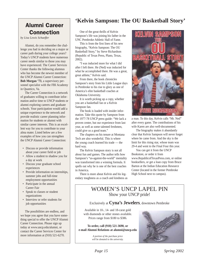## Alumni Career Connection

*by Lisa Lewis Schaeffer*

Alumni, do you remember the challenge you had in deciding on a major or career path during your college years? Today's UNCP students have numerous career needs similar to those you may have experienced. The Career Services Center thanks the following alumnus who has become the newest member of the UNCP Alumni Career Connection: **Bob Morgan '73**, a supervisory personnel specialist with the FBI Academy in Quantico, Va.

The Career Connection is a network of graduates willing to contribute information and/or time to UNCP students or alumni exploring careers and graduate schools. Your participation would add a unique experience to the network and provide realistic career planning information for students or alumni with similar career interests. This is an excellent way for you to contribute to your alma mater. Listed below are a few examples of how you can strengthen the UNCP Alumni Career Connection:

- Discuss or provide information about your career field or job
- Allow a student to shadow you for a day at work
- Discuss your graduate school experiences
- Provide information on internships, summer jobs and full-time employment opportunities
- Participate in the annual Career Fair
- Speak to classes or student organizations
- Interview or refer students for job opportunities

The possibilities are endless, and we hope you agree that you have something special to offer the UNCP Alumni Career Connection. Please sign up today at www.uncp.edu/alumni, or contact the Career Services Center for more information at (910) 521-6270.

## **'Kelvin Sampson: The OU Basketball Story'**

One of the great thrills of Kelvin Sampson's life was joining his father in the UNC Pembroke Athletic Hall of Fame.

This is from the first lines of his new biography, "Kelvin Sampson: The OU Basketball Story," by Steve Richardson (Republic of Texas Press, Plano, Texas, 2002).

"I was inducted more for what I did after I left there. He (Ned) was inducted for what he accomplished there. He was a great, great athlete," Kelvin said.

From there, the book chronicles Sampson's story from his Little League days in Pembroke to his rise to glory as one of America's elite basketball coaches at Oklahoma University.

It is worth picking up a copy, whether you are a basketball fan or a Kelvin Sampson fan.

The book is loaded with insider information. Take this quote by Sampson from the 1977-78 UNCP press guide: "We lack a proven center, but our experience from last year, as well as some talented freshmen, could give us a good team."

The chapters on his tenure at Montana Tech are also wonderful. This is where the young coach learned his trade — the hard way.

The Kelvin Sampson story is not all about fun and games. The author tells how Sampson's "us-against-the-world" mentality was transformed into a winning formula. It spells out why he is one of the best coaches in America.

There is more about Kelvin and his legendary toughness as a coach and kindness as

![](_page_16_Picture_22.jpeg)

a man. To this day, Kelvin calls "Mr. Ned" after every game. The contributions of his wife Karen are also well-documented.

The biography makes it abundantly clear that Kelvin Sampson will never forget where he came from. And the sky is the limit for this rising star, whose team was 29-4 and went to the Final Four this year.

You can get it from the UNCP Bookstore, or order it from www.RepublicofTexasPress.com, or online booksellers, or get a loan copy from Bruce Barton at the Indian Education Resource Center (located in the former Pembroke High School next to campus).

### WOMEN'S UNCP LAPEL PIN Show your UNCP pride!

#### Exclusively at **Cyna's Jewelers**, downtown Pembroke

Available in 10-, 14- and 18-carat gold with diamonds or other stones available. Prices range from \$180 to \$386.

**To order, call (910) 521-3690, or e-mail Alumni Relations at alumni@uncp.edu**

> *A portion of the purchase price will be donated to the university.*

![](_page_16_Picture_31.jpeg)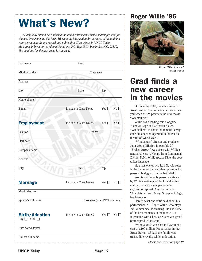# What's New?

*Alumni may submit new information about retirements, births, marriages and job changes by completing this form. We want the information for purposes of maintaining your permanent alumni record and publishing Class Notes in* UNCP Today*. Mail your information to Alumni Relations, P.O. Box 1510, Pembroke, N.C. 28372. The deadline for the next issue is August 1.*

| Last name                                       | First                          |                       |                                   |
|-------------------------------------------------|--------------------------------|-----------------------|-----------------------------------|
| Middle/maiden                                   | Class year                     |                       |                                   |
| Address                                         |                                |                       |                                   |
| City                                            | <b>State</b>                   | Zip                   |                                   |
| Home phone                                      |                                |                       |                                   |
| E-mail                                          | <b>Include in Class Notes</b>  | Yes                   | No [                              |
| <b>Employment</b>                               | Include in Class Notes?        | Yes $\Box$            | No                                |
| Position                                        | Retired                        |                       |                                   |
| Start date                                      |                                |                       |                                   |
| Company name                                    |                                |                       |                                   |
| <b>Address</b>                                  |                                |                       |                                   |
| City                                            | <b>State</b>                   | Zip                   |                                   |
| <b>Marriage</b>                                 | Include in Class Notes?        | Yes [<br>$\mathbf{I}$ | No <sub>1</sub><br>$\blacksquare$ |
| Month/day/year                                  |                                |                       |                                   |
| Spouse's full name                              | Class year (if a UNCP alumnus) |                       |                                   |
| <b>Birth/Adoption</b><br>Boy $\Box$ Girl $\Box$ | Include in Class Notes?        | Yes $\Box$            | No                                |
| Date born/adopted                               |                                |                       |                                   |
| Child's full name                               |                                |                       |                                   |

## Roger Willie '95

![](_page_17_Picture_4.jpeg)

*From "Windtalkers" MGM Photo*

## Grad finds a new career in the movies

On June 14, 2002, the adventures of Roger Willie '95 continue at a theater near you when MGM premiers the new movie "Windtalkers."

Willie has a leading role alongside Nicholas Cage and Christian Slater. "Windtalkers" is about the famous Navajo code talkers, who operated in the Pacific theater of World War II.

"Windtalkers" director and producer John Woo ("Mission Impossible 2," "Broken Arrow") was taken with Willie's natural talents. A Navajo from Continental Divide, N.M., Willie speaks Dine, the code talker language.

He plays one of two lead Navajo roles in the battle for Saipan. Slater portrays his personal bodyguard on the battlefield.

Woo is not the only person captivated by Willie's native good looks and acting ability. He has since appeared in a *GQ* fashion spread. A second movie, "Adaptation," with Meryl Streep and Cage, has been shot.

Here is what one critic said about his performance: "... Roger Willie, who plays Pvt. Whitehorse, is amazing. He had some of the best moments in the movie. His interaction with Christian Slater was great" (coronaproductions.com).

"Windtalkers" was shot in Hawaii at a cost of \$100 million. Proud father-in-law Bruce Barton '86 says the family was treated like royalty while on location.

*Please see GRAD on page 19*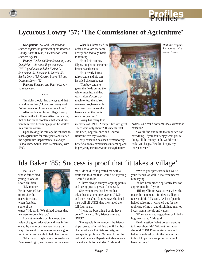![](_page_18_Picture_0.jpeg)

## **Lycurous Lowry '57: 'The Commissioner of Agriculture'**

*Occupation: U.S. Soil Conservation Service supervisor, president of the Robeson County Farm Bureau, a member of Farm Services Agents*

*Family: Twelve children (seven boys and five girls) — six are college educated. UNCP graduates include: Eurina L. Stearsman '51, Learlene L. Norris '53, Burlin Lowry '55, Oberon Lowry '59 and Oceanus Lowry '62*

*Parents: Burleigh and Pearlie Lowry both deceased*

\* \* \*

"In high school, I had always said that I would never farm," Lycurous Lowry said. "What began as chores ended as a love."

After graduation from college, Lowry enlisted in the Air Force. After discovering that he had sinus problems that would prevent him from becoming a pilot, he worked in air traffic control.

Upon leaving the military, he returned to teach agriculture for three years and started the Agriculture Department at Hawkeye School (now South Hoke Elementary) with \$500.

When his father died, in order not to lose the farm, Lowry decided to go back to farming.

He and his brother, Klyne, bought out the other brothers and sisters.

He currently farms, raises cattle and his son installed chicken houses.

"You buy cattle to glean the fields during the winter months, and that way it doesn't cost that much to feed them. You over-seed soybeans with rye (grass) and when the beans are cut the rye is ready for grazing."

Lowry has many fond

memories of UNCP. "Campus life was great. There were only about 200 students total. Jim Ebert, English Jones and Andrew Ransom were my favorites.

"My education has been tremendously beneficial to my experiences in farming and in preparing me to serve on the agriculture

![](_page_18_Picture_16.jpeg)

*With the trophies he won at swine competitions.*

boards. One could not farm today without an education.

"You'll find out in life that money's not everything. If you don't enjoy what you're doing, all the money in the world won't make you happy. Besides, I enjoy my independence."

## Ida Baker '85: Success is proof that 'it takes a village'

Ida Baker, whose father died young, is one of seven children.

"My mother, Bettie, worked hard to provide the necessities and, when feasible, some of the

![](_page_18_Picture_23.jpeg)

extras," Ida said. "We all had chores that we were responsible for."

Even at an early age, Ida knew the value of a good education and was influenced by numerous teachers along the way. She went to college to secure a good job in order to be able to help her mother.

"Mrs. Patty Brayboy, my counselor (at Pembroke High), was a great influence on

me," Ida said. "She greeted me with a smile and told me that I could be anything I would like to be.

"I have always enjoyed arguing points and seeing justice prevail." she said.

She remembers that her mother asked her to attend one year at UNCP and then transfer. Ida now says she liked it so well all UNCP that she stayed the full four years.

"It was the best thing I could have done," she said. "My friends attended UNCP."

She especially remembers the friendships formed after joining the Pi Lambda chapter of Zeta Phi Beta sorority, and one special professor. "Monte Hill of the Political Science Department always went the extra mile for a student," Ida said.

"'We're your professors, but we're your friends, as well,'" Ida remembered him saying.

Ida has been practicing family law for approximately 10 years.

"Hillary Clinton was correct when she made the statement, 'It takes a village to raise a child,'" Ida said. "A lot of people helped raise me ... watched out for me, took care of me ... and disciplined me, too! I was taught morals and values.

"When we raised vegetables or killed a hog, we shared," Ida said.

Final question: What do you want us to know about Ida? Without hesitation, she said, "UNCP has nurtured me and helped me develop into the person I am today. I hope they are proud of what I have become."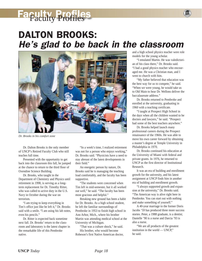# **Faculty Profiles**

## DALTON BROOKS: *He's glad to be back in the classroom*

![](_page_19_Picture_2.jpeg)

*Dr. Brooks in his comfort zone*

Dr. Dalton Brooks is the only member of UNCP's Retired Faculty Club who still teaches full time.

Presented with the opportunity to get back into the classroom this fall, he jumped at the chance to return to the third floor of Oxendine Science Building.

Dr. Brooks, who taught in the Department of Chemistry and Physics until retirement in 1998, is serving as a longterm replacement for Dr. Timothy Ritter, who was called to active duty in the U.S. Navy in October during the war on terrorism.

"I am trying to keep everything in Tim's office just like he left it," Dr. Brooks said with a smile. "I am using his lab notes, even his pencils."

Dr. Ritter is expected back sometime next fall. Dr. Brooks' return to the classroom and laboratory is the latest chapter in the remarkable life of this Pembroke native.

"In a week's time, I realized retirement was not for a person who enjoys working," Dr. Brooks said. "Physicists have a need to stay abreast of the latest developments in their field."

An energetic person by nature, Dr. Brooks said he is managing the teaching load comfortably, and the faculty has been supportive.

"The students were concerned when Tim left in mid-semester, but it all worked out well," he said. "The faculty has been most gracious and helpful."

Breaking new ground has been a habit for Dr. Brooks. As a high school student, he left the familiar surroundings of Pembroke in 1953 to finish high school in Ann Arbor, Mich., where his brother Martin was attending medical school at the University of Michigan.

"That was a culture shock," he said. His brother, who would become Robeson's first Native American doctor, and a high school physics teacher were role models for the young scholar.

"I emulated Martin. He was valedictorian of his class there," Dr. Brooks said. "I had a good physics teacher who encouraged me. He was a Christian man, and I went to church with him.

"My father believed that education was the best way for us to compete," he said. "When we were young, he would take us to Old Main to hear Dr. Wellons deliver the baccalaureate address."

Dr. Brooks returned to Pembroke and enrolled at the university, graduating in 1960 with a teaching certificate.

"I taught at Prospect High School in the days when all the children wanted to be doctors and lawyers," he said. "Prospect had some of the best teachers anywhere."

Dr. Brooks helped launch many professional careers during the Prospect renaissance of the 1960s. He was able to move his own career forward by obtaining a master's degree at Temple University in Philadelphia in 1970.

Dr. Brooks continued his education at the University of Miami with federal and private grants. In 1976, he returned to UNCP as the first director of Institutional Research.

It was an era of building and enrollment growth for the university, and his latest assignment at UNCP finds him in another era of building and enrollment growth.

"I always supported growth and expansion at the university," Dr. Brooks said. "The American way is alive right here in Pembroke. You can start out with nothing and make something of yourself."

A 40-year marriage to the former Doris Jacobs '59 has produced three more success stories. Peter, a 1988 graduate, is a dentist; Danielle '90 is a nurse and Darcia '93 is also a nurse.

"We are all products of the greatest institution in the world — UNCP," he said.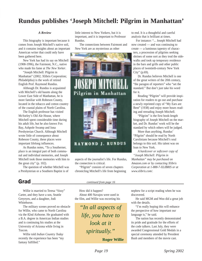## **Rundus publishes 'Joseph Mitchell: Pilgrim in Manhattan'**

#### *A Review*

This biography is important because it comes from Joseph Mitchell's native soil, and it contains insights about an important American writer that could only have been gathered here.

New York has had its say on Mitchell (1908-1996), the Fairmont, N.C., native who made his fame at *The New Yorker*.

"Joseph Mitchell: Pilgrim in Manhattan" (2002; Xlibris Corporation; Philadelphia) is the work of retired English Prof. Raymond Rundus.

Although Dr. Rundus is acquainted with Mitchell's old haunts along the Lower East Side of Manhattan, he is more familiar with Robeson County, located in the tobacco and cotton country of the coastal plains of North Carolina.

The English professor has visited McSorley's Old Ale House, where Mitchell spent considerable time during his adult life, but he also knows Fox Bay, Ashpole Swamp and Iona Presbyterian Church. Although Mitchell wrote little of consequence about Robeson County, these places were important lifelong influences.

As Rundus notes, "To a Southerner, place is an integral part of both communal and individual memories, and Joseph Mitchell took those memories with him to the great city" (p. 102).

The question of whether Mitchell was a Presbyterian or a Southern Baptist is of

Willie is married to Teresa "Sissy" Carter, and they have a son, Seattle Greyeyes, and a daughter, Jodi Whitehorse.

The military scenes proved no obstacle for Willie, who came to North Carolina via the 82nd Airborne. He graduated with a B.A. degree in American Indian studies and is continuing his studies at the University of Arizona while living in Tuscon.

Willie told *Indian Country Today* recently the experience has been "my fantasy fulfilled."

little interest to New Yorkers, but it is important, and it is important to Professor Rundus.

The connections between Fairmont and New York are as mysterious as other

![](_page_20_Picture_15.jpeg)

aspects of the journalist's life. For Rundus, the connection is critical.

"Pilgrim" consists of seven chapters chronicling Mitchell's life from beginning

to end. It is a thoughtful and careful analysis that is brilliant at times.

For instance: "... Joseph Mitchell had now created — and was continuing to create — a luminous tapestry of charac-

ters, a procession of pilgrims seeking shrines of some sort as they trod the sidewalks and took up temporary residence in the bars and grills and other public places of twentieth-century New York City" (p.69).

Dr. Rundus believes Mitchell is one of the great writers of the 20th century, "the paragon of reporters" who "set the standard." But don't just take his word for it.

Reading "Pilgrim" will provide inspiration for readers to go out and purchase a newly reprinted copy of "My Ears are Bent" (1938) and enjoy more hours reading and rereading Joseph Mitchell.

"Pilgrim" is the first book-length biography of Joseph Mitchell on the market, and Dr. Rundus' work will be the standard by which others will be judged.

More than anything, Rundus' "Pilgrim" should be read by North Carolinians because Mitchell's soul belongs to this soil. His talent was on loan to New York.

*A hardcover or softcover copy of "Joseph Mitchell: Pilgrim in Manhattan" may be purchased on Amazon.com or by contacting Xlibris Corporation at 1-888-7-XLIBRIS or at www.xlibris.com/.*

Grad **Grad Continued from page 16** 

How did it happen? About 400 Navajos were used in the film, and Willie was escorting his

> *"In all aspects of life, you have to look at it spiritually."*

> > **Roger Willie**

nephew for a script reading when he was discovered.

He said MGM and Woo did a great job with the details.

"I'm really hoping this will enhance the perspective of how important our language is," he said.

The nation has recently demonstrated its pride and gratitude for the efforts of the code talkers. Last July, they were awarded Congressional Gold Medals in a special ceremony attended by President Bush and members of the movie cast.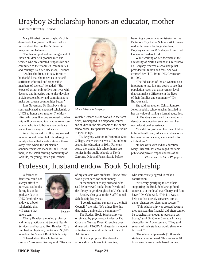## Brayboy Scholarship honors an educator, mother

*by Barbara Braveboy-Locklear*

Mary Elizabeth Jones Brayboy's children doubt Hollywood will ever make a movie about their mother's life or her many accomplishments.

"But her support and encouragement of Indian children will produce men and women who are educated, responsible and committed to their families, communities and country," said her oldest son, Terrence.

"As her children, it is easy for us to be thankful that she raised us to be selfsufficient, educated and responsible members of society," he added. "She expected us not only to live our lives with decency and integrity, but to also develop a civic responsibility and commitment to make our chosen communities better."

Last November, Dr. Brayboy's three sons established an endowed scholarship at UNCP to honor their mother. The Mary Elizabeth Jones Brayboy endowed scholarship will be awarded to a Native American woman who is a full-time undergraduate student with a major in education.

As a 12-year old, Dr. Brayboy worked in tobacco and cotton fields bordering the family's home that stands a stone's throw away from where the scholarship announcement was made last fall. It was there, in the small farming community of Wakulla, the young Indian girl learned

![](_page_21_Picture_7.jpeg)

*Mary Elizabeth Brayboy*

valuable lessons as she worked in the farm fields, worshipped in a clapboard church and studied in the classrooms of the public schoolhouse. Her parents extolled the value of these things.

Dr. Brayboy went on to Pembroke State College, where she received a B.S. in home economics education in 1961. For eight years, she taught high school home economics in the public schools of North Carolina, Ohio and Pennsylvania before

becoming a program administrator for the Baltimore City Public Schools. At 41, married with three school-age children, Dr. Brayboy earned an M.S. degree from Hood College in Frederick, Md.

While working on her doctorate at the University of North Carolina at Greensboro, Dr. Brayboy received a scholarship that provided full tuition and fees. She was awarded her Ph.D. from UNC Greensboro in 1990.

"The Education of Indian women is so important to me. It is my desire to see that population reach that achievement level that can make a difference in the lives of their families and community," Dr. Brayboy said.

She said her mother, Zelma Sampson Jones, a public school teacher, instilled in her the value of having a formal education.

Dr. Brayboy's sons said their mother's devotion to education emerges from her own educational experience.

"She did not just want her own children to be self-sufficient, educated and responsible members of society; she wanted it for all children."

"In her work with Indian education, Mary Elizabeth has encouraged the same public and private responsibilities of all

*Please see* **BRAYBOY***, page 21*

## Professor, husband endow Book Scholarship

A former student who could not always afford to purchase textbooks during his undergraduate days at UNC Pembroke has endowed a book scholarship that will ensure that others can.

![](_page_21_Picture_21.jpeg)

*Beasley*

Cherry Beasley, a nursing professor and nurse practitioner at Student Health Services, and husband Ron Beasley '70, a Lumberton physician, contributed \$6,000 to endow the Student Book Scholarship.

"I heard about the scholarship on campus," Professor Beasley said. "Because of my contacts with students, I knew there was a great need for book money.

"I mentioned it to my husband, who said he borrowed books from friends and the library to get through school," she said.

Beasley also gave to the Staff Council Scholarship last year.

"I contributed my pay raise to the Staff Council," she said. "It's things like this that make a university a community."

The Student Book Scholarship was originated by psychology Professor Pat Cabe and Trustee Roger Oxendine over dinner with UNCP's Ambassadors, student volunteers who work with the Office of Admissions.

Dr. Cabe proposed the idea of a scholarship for books to Oxendine,

who immediately agreed to make a contribution.

"It is very gratifying to see others supporting the Book Scholarship Fund, especially at the level that Cherry and Ron have," Dr. Cabe said. "This is a way to help out that directly enhances our students' chances for classroom success."

"This scholarship was created because they realized that financial aid often cannot be stretched far enough to purchase textbooks," said Dr. Glenn Burnette Jr., vice chancellor for Advancement. "They said several of their students would share one textbook."

The scholarship awards \$100 grants to students based on need. This semester 10 book awards were made based on need.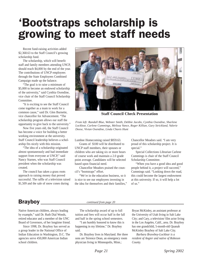# 'Bootstraps scholarship is growing to meet staff needs

Recent fund-raising activities added \$2,368.63 to the Staff Council's growing scholarship fund.

The scholarship, which will benefit staff and family members attending UNCP, should reach \$4,000 by the end of the year. The contributions of UNCP employees through the State Employees Combined Campaign made up the balance.

"The goal is to raise a minimum of \$5,000 to become an endowed scholarship of the university," said Cynthia Oxendine, vice chair of the Staff Council Scholarship Committee.

"It is exciting to see the Staff Council come together as a team to work for a common cause," said Dr. Glen Burnette, vice chancellor for Advancement. "The scholarship program allows our staff the opportunity to give back to the university."

Now five years old, the Staff Council has become a voice for building a better working environment at the university. Staff Council leadership believes a scholarship fits nicely with this mission.

"The idea of a scholarship originated almost spontaneously and had immediate support from everyone at UNCP," said Nancy Starnes, who was Staff Council president when the scholarship was created.

The council has taken a grass roots approach to raising money that proved successful. The raffle of a television raised \$1,509 and the sale of snow cones during

![](_page_22_Picture_8.jpeg)

**Staff Council Check Presentation**

*From left: Randall Blue, Webster Smith, Debbie Jacobs, Cynthia Oxendine, Sharlene Locklear, Carlene Cummings, Melissa Vance, Roger Killian, Gary Strickland, Valerie Deese, Vivian Oxendine, Linda Chavis Hunt*

Lumbee Homecoming raised \$859.63.

Grants of \$100 will be distributed to UNCP staff members, their spouses or children who are taking six or more hours of course work and maintain a 2.0 grade point average. Candidates will be selected based upon financial need.

Chancellor Meadors praised the council's "bootstraps" effort.

"We're in the education business, so it is nice to see our employees investing in the idea for themselves and their families," Chancellor Meadors said. "I am very proud of this scholarship project. It is special."

Special Collections Librarian Carlene Cummings is chair of the Staff Council Scholarship Committee.

"When you have a good idea and good people behind it, a project will succeed," Cummings said. "Looking down the road, this could become the largest endowment at this university. If so, it will help a lot of us."

## **Brayboy** *continued from page 20*

Native American children, always leading by example," said Dr. Ruth Dial Woods, retired educator and a member of the UNC Board of Governors, of her longtime friend.

Since 1998, Dr. Brayboy has served as a group leader in the National Office of Indian Education in Washington, D.C. The agencies serve 450,000 American Indian school children.

The scholarship award of up to full tuition and fees will occur half in the fall and half in the spring school semesters.

"I am humbly honored to know this is happening in my lifetime," Dr. Brayboy said.

Dr. Brayboy lives in Maryland. Her three sons are Terrence Dean, an emergency room physician living in Minneapolis, Minn.;

Bryan McKinley, an assistant professor at the University of Utah living in Salt Lake City; and Cary, a television/ film actor living in the Los Angeles, Calif., area. Dr. Brayboy has one grandchild, 5-month-old Quanah McKinley Brayboy of Salt Lake City.

*Barbara Braveboy-Locklear is a resident of Angier and native of Robeson County.*